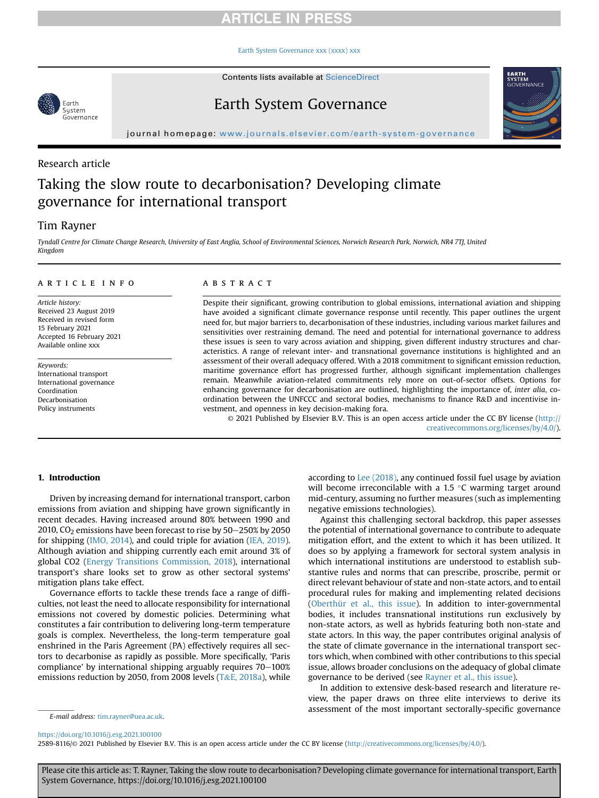# **ARTICLE IN PRESS**

[Earth System Governance xxx \(xxxx\) xxx](https://doi.org/10.1016/j.esg.2021.100100)

Contents lists available at ScienceDirect



# Earth System Governance



journal homepage: <www.journals.elsevier.com/earth-system-governance>

# Research article

# Taking the slow route to decarbonisation? Developing climate governance for international transport

# Tim Rayner

Tyndall Centre for Climate Change Research, University of East Anglia, School of Environmental Sciences, Norwich Research Park, Norwich, NR4 7TJ, United Kingdom

### article info

Article history: Received 23 August 2019 Received in revised form 15 February 2021 Accepted 16 February 2021 Available online xxx

Keywords: International transport International governance Coordination Decarbonisation Policy instruments

### **ABSTRACT**

Despite their significant, growing contribution to global emissions, international aviation and shipping have avoided a significant climate governance response until recently. This paper outlines the urgent need for, but major barriers to, decarbonisation of these industries, including various market failures and sensitivities over restraining demand. The need and potential for international governance to address these issues is seen to vary across aviation and shipping, given different industry structures and characteristics. A range of relevant inter- and transnational governance institutions is highlighted and an assessment of their overall adequacy offered. With a 2018 commitment to significant emission reduction, maritime governance effort has progressed further, although significant implementation challenges remain. Meanwhile aviation-related commitments rely more on out-of-sector offsets. Options for enhancing governance for decarbonisation are outlined, highlighting the importance of, inter alia, coordination between the UNFCCC and sectoral bodies, mechanisms to finance R&D and incentivise investment, and openness in key decision-making fora.

© 2021 Published by Elsevier B.V. This is an open access article under the CC BY license ([http://](http://creativecommons.org/licenses/by/4.0/) [creativecommons.org/licenses/by/4.0/](http://creativecommons.org/licenses/by/4.0/)).

# 1. Introduction

Driven by increasing demand for international transport, carbon emissions from aviation and shipping have grown significantly in recent decades. Having increased around 80% between 1990 and 2010,  $CO<sub>2</sub>$  emissions have been forecast to rise by  $50-250\%$  by 2050 for shipping [\(IMO, 2014](#page-10-0)), and could triple for aviation [\(IEA, 2019\)](#page-10-1). Although aviation and shipping currently each emit around 3% of global CO2 [\(Energy Transitions Commission, 2018](#page-10-2)), international transport's share looks set to grow as other sectoral systems' mitigation plans take effect.

Governance efforts to tackle these trends face a range of difficulties, not least the need to allocate responsibility for international emissions not covered by domestic policies. Determining what constitutes a fair contribution to delivering long-term temperature goals is complex. Nevertheless, the long-term temperature goal enshrined in the Paris Agreement (PA) effectively requires all sectors to decarbonise as rapidly as possible. More specifically, 'Paris compliance' by international shipping arguably requires  $70-100%$ emissions reduction by 2050, from 2008 levels ( $T&E$ , 2018a), while

according to [Lee \(2018\)](#page-10-4), any continued fossil fuel usage by aviation will become irreconcilable with a 1.5  $\degree$ C warming target around mid-century, assuming no further measures (such as implementing negative emissions technologies).

Against this challenging sectoral backdrop, this paper assesses the potential of international governance to contribute to adequate mitigation effort, and the extent to which it has been utilized. It does so by applying a framework for sectoral system analysis in which international institutions are understood to establish substantive rules and norms that can prescribe, proscribe, permit or direct relevant behaviour of state and non-state actors, and to entail procedural rules for making and implementing related decisions ([Oberthür et al., this issue\)](#page-10-5). In addition to inter-governmental bodies, it includes transnational institutions run exclusively by non-state actors, as well as hybrids featuring both non-state and state actors. In this way, the paper contributes original analysis of the state of climate governance in the international transport sectors which, when combined with other contributions to this special issue, allows broader conclusions on the adequacy of global climate governance to be derived (see [Rayner et al., this issue\)](#page-10-6).

In addition to extensive desk-based research and literature review, the paper draws on three elite interviews to derive its assessment of the most important sectorally-specific governance

<https://doi.org/10.1016/j.esg.2021.100100>

2589-8116/© 2021 Published by Elsevier B.V. This is an open access article under the CC BY license (<http://creativecommons.org/licenses/by/4.0/>).

Please cite this article as: T. Rayner, Taking the slow route to decarbonisation? Developing climate governance for international transport, Earth System Governance, https://doi.org/10.1016/j.esg.2021.100100

E-mail address: [tim.rayner@uea.ac.uk.](mailto:tim.rayner@uea.ac.uk)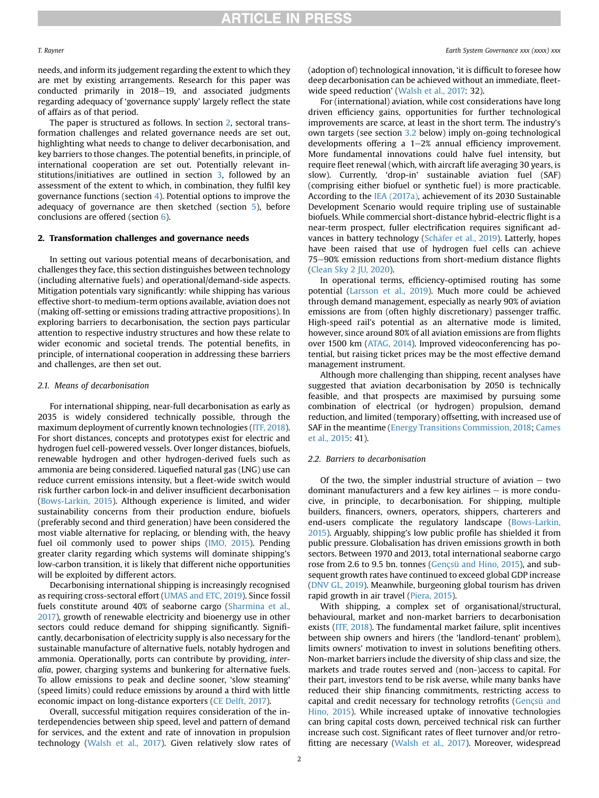needs, and inform its judgement regarding the extent to which they are met by existing arrangements. Research for this paper was conducted primarily in 2018-19, and associated judgments regarding adequacy of 'governance supply' largely reflect the state of affairs as of that period.

The paper is structured as follows. In section [2](#page-1-0), sectoral transformation challenges and related governance needs are set out, highlighting what needs to change to deliver decarbonisation, and key barriers to those changes. The potential benefits, in principle, of international cooperation are set out. Potentially relevant institutions/initiatives are outlined in section [3,](#page-3-0) followed by an assessment of the extent to which, in combination, they fulfil key governance functions (section [4](#page-5-0)). Potential options to improve the adequacy of governance are then sketched (section [5](#page-7-0)), before conclusions are offered (section [6\)](#page-9-0).

## <span id="page-1-0"></span>2. Transformation challenges and governance needs

In setting out various potential means of decarbonisation, and challenges they face, this section distinguishes between technology (including alternative fuels) and operational/demand-side aspects. Mitigation potentials vary significantly: while shipping has various effective short-to medium-term options available, aviation does not (making off-setting or emissions trading attractive propositions). In exploring barriers to decarbonisation, the section pays particular attention to respective industry structures and how these relate to wider economic and societal trends. The potential benefits, in principle, of international cooperation in addressing these barriers and challenges, are then set out.

### <span id="page-1-1"></span>2.1. Means of decarbonisation

For international shipping, near-full decarbonisation as early as 2035 is widely considered technically possible, through the maximum deployment of currently known technologies [\(ITF, 2018\)](#page-10-7). For short distances, concepts and prototypes exist for electric and hydrogen fuel cell-powered vessels. Over longer distances, biofuels, renewable hydrogen and other hydrogen-derived fuels such as ammonia are being considered. Liquefied natural gas (LNG) use can reduce current emissions intensity, but a fleet-wide switch would risk further carbon lock-in and deliver insufficient decarbonisation ([Bows-Larkin, 2015\)](#page-9-1). Although experience is limited, and wider sustainability concerns from their production endure, biofuels (preferably second and third generation) have been considered the most viable alternative for replacing, or blending with, the heavy fuel oil commonly used to power ships [\(IMO, 2015](#page-10-8)). Pending greater clarity regarding which systems will dominate shipping's low-carbon transition, it is likely that different niche opportunities will be exploited by different actors.

Decarbonising international shipping is increasingly recognised as requiring cross-sectoral effort [\(UMAS and ETC, 2019\)](#page-10-9). Since fossil fuels constitute around 40% of seaborne cargo [\(Sharmina et al.,](#page-10-10) [2017\)](#page-10-10), growth of renewable electricity and bioenergy use in other sectors could reduce demand for shipping significantly. Significantly, decarbonisation of electricity supply is also necessary for the sustainable manufacture of alternative fuels, notably hydrogen and ammonia. Operationally, ports can contribute by providing, interalia, power, charging systems and bunkering for alternative fuels. To allow emissions to peak and decline sooner, 'slow steaming' (speed limits) could reduce emissions by around a third with little economic impact on long-distance exporters [\(CE Delft, 2017\)](#page-10-11).

Overall, successful mitigation requires consideration of the interdependencies between ship speed, level and pattern of demand for services, and the extent and rate of innovation in propulsion technology [\(Walsh et al., 2017](#page-10-12)). Given relatively slow rates of (adoption of) technological innovation, 'it is difficult to foresee how deep decarbonisation can be achieved without an immediate, fleetwide speed reduction' [\(Walsh et al., 2017:](#page-10-12) 32).

For (international) aviation, while cost considerations have long driven efficiency gains, opportunities for further technological improvements are scarce, at least in the short term. The industry's own targets (see section [3.2](#page-4-0) below) imply on-going technological developments offering a  $1-2\%$  annual efficiency improvement. More fundamental innovations could halve fuel intensity, but require fleet renewal (which, with aircraft life averaging 30 years, is slow). Currently, 'drop-in' sustainable aviation fuel (SAF) (comprising either biofuel or synthetic fuel) is more practicable. According to the [IEA \(2017a\),](#page-10-13) achievement of its 2030 Sustainable Development Scenario would require tripling use of sustainable biofuels. While commercial short-distance hybrid-electric flight is a near-term prospect, fuller electrification requires significant advances in battery technology (Schäfer et al., 2019). Latterly, hopes have been raised that use of hydrogen fuel cells can achieve 75-90% emission reductions from short-medium distance flights ([Clean Sky 2 JU, 2020](#page-10-15)).

In operational terms, efficiency-optimised routing has some potential ([Larsson et al., 2019\)](#page-10-16). Much more could be achieved through demand management, especially as nearly 90% of aviation emissions are from (often highly discretionary) passenger traffic. High-speed rail's potential as an alternative mode is limited, however, since around 80% of all aviation emissions are from flights over 1500 km ([ATAG, 2014](#page-9-2)). Improved videoconferencing has potential, but raising ticket prices may be the most effective demand management instrument.

Although more challenging than shipping, recent analyses have suggested that aviation decarbonisation by 2050 is technically feasible, and that prospects are maximised by pursuing some combination of electrical (or hydrogen) propulsion, demand reduction, and limited (temporary) offsetting, with increased use of SAF in the meantime ([Energy Transitions Commission, 2018](#page-10-2); [Cames](#page-9-3) [et al., 2015:](#page-9-3) 41).

#### 2.2. Barriers to decarbonisation

Of the two, the simpler industrial structure of aviation  $-$  two dominant manufacturers and a few key airlines  $-$  is more conducive, in principle, to decarbonisation. For shipping, multiple builders, financers, owners, operators, shippers, charterers and end-users complicate the regulatory landscape ([Bows-Larkin,](#page-9-1) [2015\)](#page-9-1). Arguably, shipping's low public profile has shielded it from public pressure. Globalisation has driven emissions growth in both sectors. Between 1970 and 2013, total international seaborne cargo rose from 2.6 to 9.5 bn. tonnes [\(Gençsü and Hino, 2015\)](#page-10-17), and subsequent growth rates have continued to exceed global GDP increase ([DNV GL, 2019\)](#page-10-18). Meanwhile, burgeoning global tourism has driven rapid growth in air travel [\(Piera, 2015\)](#page-10-19).

With shipping, a complex set of organisational/structural, behavioural, market and non-market barriers to decarbonisation exists ([ITF, 2018](#page-10-7)). The fundamental market failure, split incentives between ship owners and hirers (the 'landlord-tenant' problem), limits owners' motivation to invest in solutions benefiting others. Non-market barriers include the diversity of ship class and size, the markets and trade routes served and (non-)access to capital. For their part, investors tend to be risk averse, while many banks have reduced their ship financing commitments, restricting access to capital and credit necessary for technology retrofits ([Gençsü and](#page-10-17) [Hino, 2015\)](#page-10-17). While increased uptake of innovative technologies can bring capital costs down, perceived technical risk can further increase such cost. Significant rates of fleet turnover and/or retrofitting are necessary ([Walsh et al., 2017](#page-10-12)). Moreover, widespread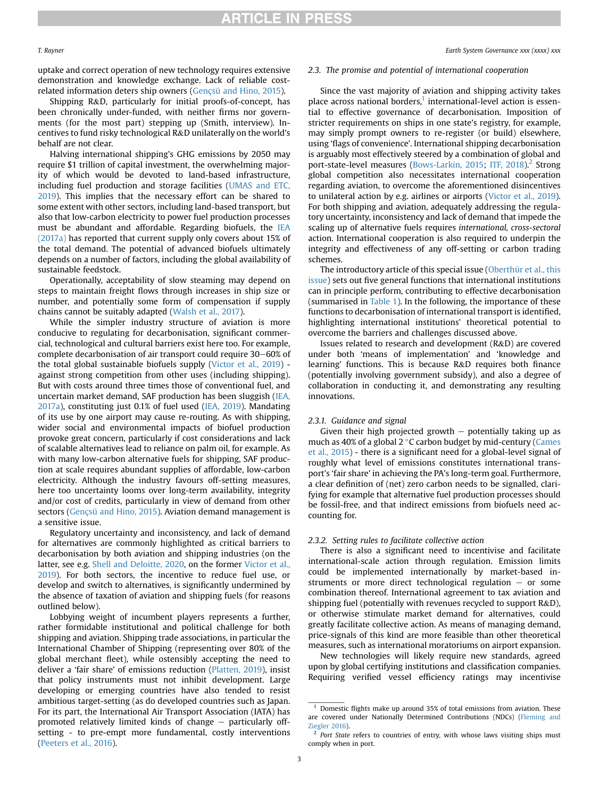uptake and correct operation of new technology requires extensive demonstration and knowledge exchange. Lack of reliable costrelated information deters ship owners ([Gençsü and Hino, 2015](#page-10-17)).

Shipping R&D, particularly for initial proofs-of-concept, has been chronically under-funded, with neither firms nor governments (for the most part) stepping up (Smith, interview). Incentives to fund risky technological R&D unilaterally on the world's behalf are not clear.

Halving international shipping's GHG emissions by 2050 may require \$1 trillion of capital investment, the overwhelming majority of which would be devoted to land-based infrastructure, including fuel production and storage facilities ([UMAS and ETC,](#page-10-9) [2019\)](#page-10-9). This implies that the necessary effort can be shared to some extent with other sectors, including land-based transport, but also that low-carbon electricity to power fuel production processes must be abundant and affordable. Regarding biofuels, the [IEA](#page-10-13) [\(2017a\)](#page-10-13) has reported that current supply only covers about 15% of the total demand. The potential of advanced biofuels ultimately depends on a number of factors, including the global availability of sustainable feedstock.

Operationally, acceptability of slow steaming may depend on steps to maintain freight flows through increases in ship size or number, and potentially some form of compensation if supply chains cannot be suitably adapted ([Walsh et al., 2017\)](#page-10-12).

While the simpler industry structure of aviation is more conducive to regulating for decarbonisation, significant commercial, technological and cultural barriers exist here too. For example, complete decarbonisation of air transport could require 30–60% of the total global sustainable biofuels supply [\(Victor et al., 2019\)](#page-10-20) against strong competition from other uses (including shipping). But with costs around three times those of conventional fuel, and uncertain market demand, SAF production has been sluggish [\(IEA,](#page-10-13) [2017a\)](#page-10-13), constituting just 0.1% of fuel used ([IEA, 2019\)](#page-10-1). Mandating of its use by one airport may cause re-routing. As with shipping, wider social and environmental impacts of biofuel production provoke great concern, particularly if cost considerations and lack of scalable alternatives lead to reliance on palm oil, for example. As with many low-carbon alternative fuels for shipping, SAF production at scale requires abundant supplies of affordable, low-carbon electricity. Although the industry favours off-setting measures, here too uncertainty looms over long-term availability, integrity and/or cost of credits, particularly in view of demand from other sectors [\(Gençsü and Hino, 2015](#page-10-17)). Aviation demand management is a sensitive issue.

Regulatory uncertainty and inconsistency, and lack of demand for alternatives are commonly highlighted as critical barriers to decarbonisation by both aviation and shipping industries (on the latter, see e.g. [Shell and Deloitte, 2020](#page-10-21), on the former [Victor et al.,](#page-10-20) [2019\)](#page-10-20). For both sectors, the incentive to reduce fuel use, or develop and switch to alternatives, is significantly undermined by the absence of taxation of aviation and shipping fuels (for reasons outlined below).

Lobbying weight of incumbent players represents a further, rather formidable institutional and political challenge for both shipping and aviation. Shipping trade associations, in particular the International Chamber of Shipping (representing over 80% of the global merchant fleet), while ostensibly accepting the need to deliver a 'fair share' of emissions reduction ([Platten, 2019\)](#page-10-22), insist that policy instruments must not inhibit development. Large developing or emerging countries have also tended to resist ambitious target-setting (as do developed countries such as Japan. For its part, the International Air Transport Association (IATA) has promoted relatively limited kinds of change  $-$  particularly offsetting - to pre-empt more fundamental, costly interventions ([Peeters et al., 2016\)](#page-10-23).

#### 2.3. The promise and potential of international cooperation

Since the vast majority of aviation and shipping activity takes place across national borders, $1$  international-level action is essential to effective governance of decarbonisation. Imposition of stricter requirements on ships in one state's registry, for example, may simply prompt owners to re-register (or build) elsewhere, using 'flags of convenience'. International shipping decarbonisation is arguably most effectively steered by a combination of global and port-state-level measures ([Bows-Larkin, 2015](#page-9-1); [ITF, 2018](#page-10-7)).<sup>[2](#page-2-1)</sup> Strong global competition also necessitates international cooperation regarding aviation, to overcome the aforementioned disincentives to unilateral action by e.g. airlines or airports ([Victor et al., 2019\)](#page-10-20). For both shipping and aviation, adequately addressing the regulatory uncertainty, inconsistency and lack of demand that impede the scaling up of alternative fuels requires international, cross-sectoral action. International cooperation is also required to underpin the integrity and effectiveness of any off-setting or carbon trading schemes.

The introductory article of this special issue ([Oberthür et al., this](#page-10-5) [issue](#page-10-5)) sets out five general functions that international institutions can in principle perform, contributing to effective decarbonisation (summarised in [Table 1](#page-3-1)). In the following, the importance of these functions to decarbonisation of international transport is identified, highlighting international institutions' theoretical potential to overcome the barriers and challenges discussed above.

Issues related to research and development (R&D) are covered under both 'means of implementation' and 'knowledge and learning' functions. This is because R&D requires both finance (potentially involving government subsidy), and also a degree of collaboration in conducting it, and demonstrating any resulting innovations.

#### 2.3.1. Guidance and signal

Given their high projected growth  $-$  potentially taking up as much as 40% of a global  $2^{\circ}$ C carbon budget by mid-century ([Cames](#page-9-3) [et al., 2015\)](#page-9-3) - there is a significant need for a global-level signal of roughly what level of emissions constitutes international transport's 'fair share' in achieving the PA's long-term goal. Furthermore, a clear definition of (net) zero carbon needs to be signalled, clarifying for example that alternative fuel production processes should be fossil-free, and that indirect emissions from biofuels need accounting for.

#### 2.3.2. Setting rules to facilitate collective action

There is also a significant need to incentivise and facilitate international-scale action through regulation. Emission limits could be implemented internationally by market-based instruments or more direct technological regulation  $-$  or some combination thereof. International agreement to tax aviation and shipping fuel (potentially with revenues recycled to support R&D), or otherwise stimulate market demand for alternatives, could greatly facilitate collective action. As means of managing demand, price-signals of this kind are more feasible than other theoretical measures, such as international moratoriums on airport expansion.

New technologies will likely require new standards, agreed upon by global certifying institutions and classification companies. Requiring verified vessel efficiency ratings may incentivise

<span id="page-2-0"></span> $1$  Domestic flights make up around 35% of total emissions from aviation. These are covered under Nationally Determined Contributions (NDCs) [\(Fleming and](#page-10-24) [Ziegler 2016](#page-10-24)).

<span id="page-2-1"></span> $2$  Port State refers to countries of entry, with whose laws visiting ships must comply when in port.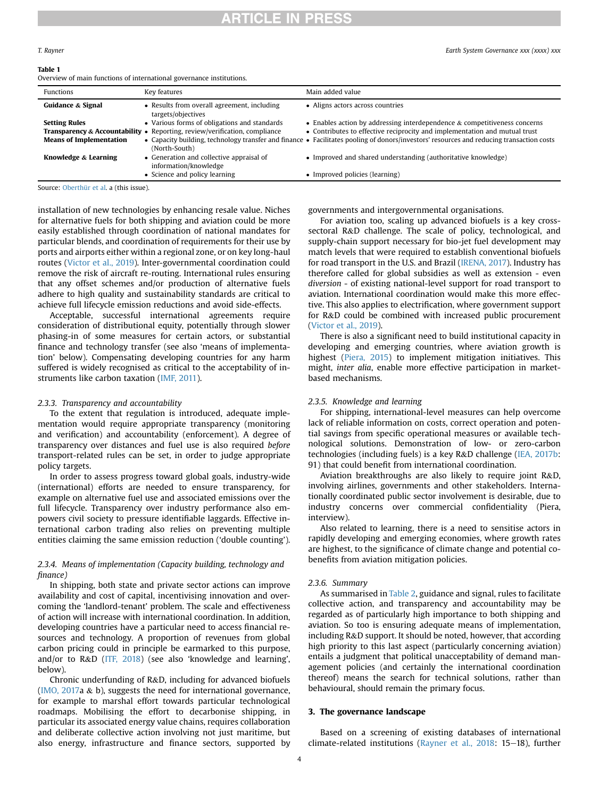# **RTICLE IN PRESS**

#### <span id="page-3-1"></span>Table 1

Overview of main functions of international governance institutions.

| <u>overview of main ranchons of international governance institutions.</u> |                                                                                                                                       |                                                                                                                                                            |  |  |  |  |  |
|----------------------------------------------------------------------------|---------------------------------------------------------------------------------------------------------------------------------------|------------------------------------------------------------------------------------------------------------------------------------------------------------|--|--|--|--|--|
| <b>Functions</b>                                                           | Key features                                                                                                                          | Main added value                                                                                                                                           |  |  |  |  |  |
| Guidance & Signal                                                          | • Results from overall agreement, including<br>targets/objectives                                                                     | • Aligns actors across countries                                                                                                                           |  |  |  |  |  |
| <b>Setting Rules</b>                                                       | • Various forms of obligations and standards<br><b>Transparency &amp; Accountability •</b> Reporting, review/verification, compliance | • Enables action by addressing interdependence $\&$ competitiveness concerns<br>• Contributes to effective reciprocity and implementation and mutual trust |  |  |  |  |  |
| <b>Means of Implementation</b>                                             | (North-South)                                                                                                                         | • Capacity building, technology transfer and finance • Facilitates pooling of donors/investors' resources and reducing transaction costs                   |  |  |  |  |  |
| Knowledge & Learning                                                       | • Generation and collective appraisal of<br>information/knowledge                                                                     | • Improved and shared understanding (authoritative knowledge)                                                                                              |  |  |  |  |  |
|                                                                            | • Science and policy learning                                                                                                         | • Improved policies (learning)                                                                                                                             |  |  |  |  |  |

Source: [Oberthür et al](#page-10-5). a (this issue).

installation of new technologies by enhancing resale value. Niches for alternative fuels for both shipping and aviation could be more easily established through coordination of national mandates for particular blends, and coordination of requirements for their use by ports and airports either within a regional zone, or on key long-haul routes ([Victor et al., 2019](#page-10-20)). Inter-governmental coordination could remove the risk of aircraft re-routing. International rules ensuring that any offset schemes and/or production of alternative fuels adhere to high quality and sustainability standards are critical to achieve full lifecycle emission reductions and avoid side-effects.

Acceptable, successful international agreements require consideration of distributional equity, potentially through slower phasing-in of some measures for certain actors, or substantial finance and technology transfer (see also 'means of implementation' below). Compensating developing countries for any harm suffered is widely recognised as critical to the acceptability of instruments like carbon taxation ([IMF, 2011\)](#page-10-25).

### 2.3.3. Transparency and accountability

To the extent that regulation is introduced, adequate implementation would require appropriate transparency (monitoring and verification) and accountability (enforcement). A degree of transparency over distances and fuel use is also required before transport-related rules can be set, in order to judge appropriate policy targets.

In order to assess progress toward global goals, industry-wide (international) efforts are needed to ensure transparency, for example on alternative fuel use and associated emissions over the full lifecycle. Transparency over industry performance also empowers civil society to pressure identifiable laggards. Effective international carbon trading also relies on preventing multiple entities claiming the same emission reduction ('double counting').

# 2.3.4. Means of implementation (Capacity building, technology and finance)

In shipping, both state and private sector actions can improve availability and cost of capital, incentivising innovation and overcoming the 'landlord-tenant' problem. The scale and effectiveness of action will increase with international coordination. In addition, developing countries have a particular need to access financial resources and technology. A proportion of revenues from global carbon pricing could in principle be earmarked to this purpose, and/or to R&D [\(ITF, 2018\)](#page-10-7) (see also 'knowledge and learning', below).

Chronic underfunding of R&D, including for advanced biofuels ([IMO, 2017](#page-10-26)a & b), suggests the need for international governance, for example to marshal effort towards particular technological roadmaps. Mobilising the effort to decarbonise shipping, in particular its associated energy value chains, requires collaboration and deliberate collective action involving not just maritime, but also energy, infrastructure and finance sectors, supported by

governments and intergovernmental organisations.

For aviation too, scaling up advanced biofuels is a key crosssectoral R&D challenge. The scale of policy, technological, and supply-chain support necessary for bio-jet fuel development may match levels that were required to establish conventional biofuels for road transport in the U.S. and Brazil [\(IRENA, 2017\)](#page-10-27). Industry has therefore called for global subsidies as well as extension - even diversion - of existing national-level support for road transport to aviation. International coordination would make this more effective. This also applies to electrification, where government support for R&D could be combined with increased public procurement ([Victor et al., 2019\)](#page-10-20).

There is also a significant need to build institutional capacity in developing and emerging countries, where aviation growth is highest [\(Piera, 2015](#page-10-19)) to implement mitigation initiatives. This might, inter alia, enable more effective participation in marketbased mechanisms.

## 2.3.5. Knowledge and learning

For shipping, international-level measures can help overcome lack of reliable information on costs, correct operation and potential savings from specific operational measures or available technological solutions. Demonstration of low- or zero-carbon technologies (including fuels) is a key R&D challenge ([IEA, 2017b:](#page-10-28) 91) that could benefit from international coordination.

Aviation breakthroughs are also likely to require joint R&D, involving airlines, governments and other stakeholders. Internationally coordinated public sector involvement is desirable, due to industry concerns over commercial confidentiality (Piera, interview).

Also related to learning, there is a need to sensitise actors in rapidly developing and emerging economies, where growth rates are highest, to the significance of climate change and potential cobenefits from aviation mitigation policies.

#### 2.3.6. Summary

As summarised in [Table 2](#page-4-1), guidance and signal, rules to facilitate collective action, and transparency and accountability may be regarded as of particularly high importance to both shipping and aviation. So too is ensuring adequate means of implementation, including R&D support. It should be noted, however, that according high priority to this last aspect (particularly concerning aviation) entails a judgment that political unacceptability of demand management policies (and certainly the international coordination thereof) means the search for technical solutions, rather than behavioural, should remain the primary focus.

## <span id="page-3-0"></span>3. The governance landscape

Based on a screening of existing databases of international climate-related institutions (Rayner et al.,  $2018: 15-18$ ), further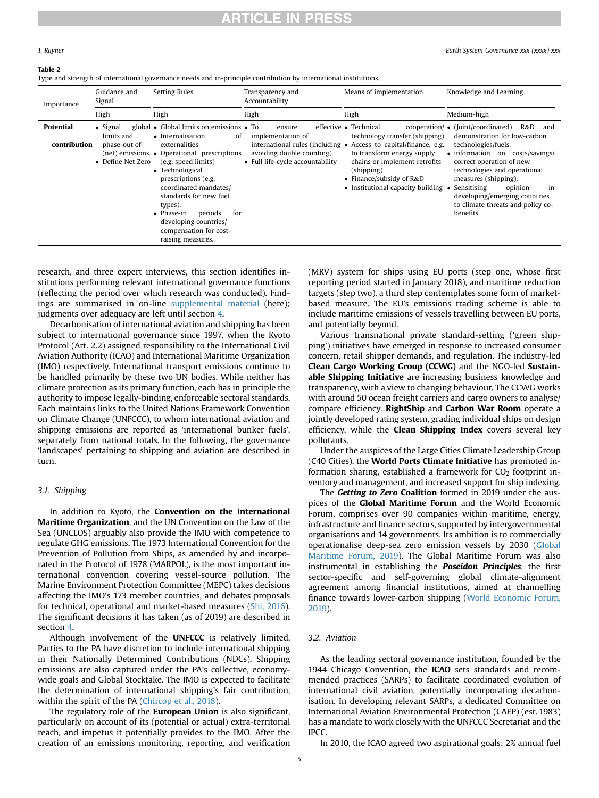# **RTICLE IN PRESS**

T. Rayner Earth System Governance xxx (xxxx) xxx

#### <span id="page-4-1"></span>Table 2

Type and strength of international governance needs and in-principle contribution by international institutions.

| Importance                | Guidance and<br>Signal                                              | <b>Setting Rules</b>                                                                                                                                                                                                                                                                                                                                                                | Transparency and<br>Accountability                                                           | Means of implementation                                                                                                                                                                                                                                                                             | Knowledge and Learning                                                                                                                                                                                                                                                                                                                                  |  |
|---------------------------|---------------------------------------------------------------------|-------------------------------------------------------------------------------------------------------------------------------------------------------------------------------------------------------------------------------------------------------------------------------------------------------------------------------------------------------------------------------------|----------------------------------------------------------------------------------------------|-----------------------------------------------------------------------------------------------------------------------------------------------------------------------------------------------------------------------------------------------------------------------------------------------------|---------------------------------------------------------------------------------------------------------------------------------------------------------------------------------------------------------------------------------------------------------------------------------------------------------------------------------------------------------|--|
|                           | High                                                                | High                                                                                                                                                                                                                                                                                                                                                                                | High                                                                                         | High                                                                                                                                                                                                                                                                                                | Medium-high                                                                                                                                                                                                                                                                                                                                             |  |
| Potential<br>contribution | $\bullet$ Signal<br>limits and<br>phase-out of<br>• Define Net Zero | global • Global limits on emissions • To<br>• Internalisation<br>0f<br>externalities<br>(net) emissions. • Operational prescriptions<br>(e.g. speed limits)<br>• Technological<br>prescriptions (e.g.<br>coordinated mandates/<br>standards for new fuel<br>types).<br>periods<br>$\bullet$ Phase-in<br>for<br>developing countries/<br>compensation for cost-<br>raising measures. | ensure<br>implementation of<br>avoiding double counting)<br>• Full life-cycle accountability | effective • Technical<br>cooperation/<br>technology transfer (shipping)<br>international rules (including • Access to capital/finance, e.g.<br>to transform energy supply<br>chains or implement retrofits<br>(shipping)<br>$\bullet$ Finance/subsidy of R&D<br>• Institutional capacity building • | $\bullet$ ([oint/coordinated]<br>R&D<br>and<br>demonstration for low-carbon<br>technologies/fuels.<br>$\bullet$ information on<br>costs/savings/<br>correct operation of new<br>technologies and operational<br>measures (shipping).<br>Sensitising<br>opinion<br>in<br>developing/emerging countries<br>to climate threats and policy co-<br>benefits. |  |

research, and three expert interviews, this section identifies institutions performing relevant international governance functions (reflecting the period over which research was conducted). Findings are summarised in on-line supplemental material (here); judgments over adequacy are left until section [4](#page-5-0).

Decarbonisation of international aviation and shipping has been subject to international governance since 1997, when the Kyoto Protocol (Art. 2.2) assigned responsibility to the International Civil Aviation Authority (ICAO) and International Maritime Organization (IMO) respectively. International transport emissions continue to be handled primarily by these two UN bodies. While neither has climate protection as its primary function, each has in principle the authority to impose legally-binding, enforceable sectoral standards. Each maintains links to the United Nations Framework Convention on Climate Change (UNFCCC), to whom international aviation and shipping emissions are reported as 'international bunker fuels', separately from national totals. In the following, the governance 'landscapes' pertaining to shipping and aviation are described in turn.

# 3.1. Shipping

In addition to Kyoto, the **Convention on the International** Maritime Organization, and the UN Convention on the Law of the Sea (UNCLOS) arguably also provide the IMO with competence to regulate GHG emissions. The 1973 International Convention for the Prevention of Pollution from Ships, as amended by and incorporated in the Protocol of 1978 (MARPOL), is the most important international convention covering vessel-source pollution. The Marine Environment Protection Committee (MEPC) takes decisions affecting the IMO's 173 member countries, and debates proposals for technical, operational and market-based measures [\(Shi, 2016\)](#page-10-30). The significant decisions it has taken (as of 2019) are described in section [4.](#page-5-0)

Although involvement of the UNFCCC is relatively limited, Parties to the PA have discretion to include international shipping in their Nationally Determined Contributions (NDCs). Shipping emissions are also captured under the PA's collective, economywide goals and Global Stocktake. The IMO is expected to facilitate the determination of international shipping's fair contribution, within the spirit of the PA ([Chircop et al., 2018](#page-10-31)).

The regulatory role of the **European Union** is also significant, particularly on account of its (potential or actual) extra-territorial reach, and impetus it potentially provides to the IMO. After the creation of an emissions monitoring, reporting, and verification (MRV) system for ships using EU ports (step one, whose first reporting period started in January 2018), and maritime reduction targets (step two), a third step contemplates some form of marketbased measure. The EU's emissions trading scheme is able to include maritime emissions of vessels travelling between EU ports, and potentially beyond.

Various transnational private standard-setting ('green shipping') initiatives have emerged in response to increased consumer concern, retail shipper demands, and regulation. The industry-led Clean Cargo Working Group (CCWG) and the NGO-led Sustainable Shipping Initiative are increasing business knowledge and transparency, with a view to changing behaviour. The CCWG works with around 50 ocean freight carriers and cargo owners to analyse/ compare efficiency. RightShip and Carbon War Room operate a jointly developed rating system, grading individual ships on design efficiency, while the **Clean Shipping Index** covers several key pollutants.

Under the auspices of the Large Cities Climate Leadership Group (C40 Cities), the World Ports Climate Initiative has promoted information sharing, established a framework for  $CO<sub>2</sub>$  footprint inventory and management, and increased support for ship indexing.

The Getting to Zero Coalition formed in 2019 under the auspices of the Global Maritime Forum and the World Economic Forum, comprises over 90 companies within maritime, energy, infrastructure and finance sectors, supported by intergovernmental organisations and 14 governments. Its ambition is to commercially operationalise deep-sea zero emission vessels by 2030 [\(Global](#page-10-32) [Maritime Forum, 2019](#page-10-32)). The Global Maritime Forum was also instrumental in establishing the **Poseidon Principles**, the first sector-specific and self-governing global climate-alignment agreement among financial institutions, aimed at channelling finance towards lower-carbon shipping [\(World Economic Forum,](#page-10-33) [2019\)](#page-10-33).

# <span id="page-4-0"></span>3.2. Aviation

As the leading sectoral governance institution, founded by the 1944 Chicago Convention, the **ICAO** sets standards and recommended practices (SARPs) to facilitate coordinated evolution of international civil aviation, potentially incorporating decarbonisation. In developing relevant SARPs, a dedicated Committee on International Aviation Environmental Protection (CAEP) (est. 1983) has a mandate to work closely with the UNFCCC Secretariat and the IPCC.

In 2010, the ICAO agreed two aspirational goals: 2% annual fuel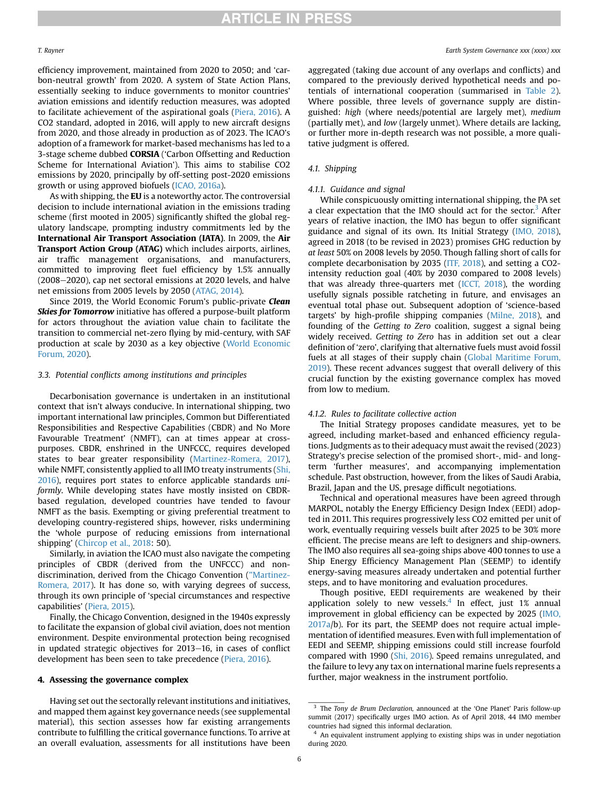efficiency improvement, maintained from 2020 to 2050; and 'carbon-neutral growth' from 2020. A system of State Action Plans, essentially seeking to induce governments to monitor countries' aviation emissions and identify reduction measures, was adopted to facilitate achievement of the aspirational goals [\(Piera, 2016](#page-10-34)). A CO2 standard, adopted in 2016, will apply to new aircraft designs from 2020, and those already in production as of 2023. The ICAO's adoption of a framework for market-based mechanisms has led to a 3-stage scheme dubbed CORSIA ('Carbon Offsetting and Reduction Scheme for International Aviation'). This aims to stabilise CO2 emissions by 2020, principally by off-setting post-2020 emissions growth or using approved biofuels [\(ICAO, 2016a\)](#page-10-35).

As with shipping, the EU is a noteworthy actor. The controversial decision to include international aviation in the emissions trading scheme (first mooted in 2005) significantly shifted the global regulatory landscape, prompting industry commitments led by the International Air Transport Association (IATA). In 2009, the Air Transport Action Group (ATAG) which includes airports, airlines, air traffic management organisations, and manufacturers, committed to improving fleet fuel efficiency by 1.5% annually  $(2008-2020)$ , cap net sectoral emissions at 2020 levels, and halve net emissions from 2005 levels by 2050 ([ATAG, 2014\)](#page-9-2).

Since 2019, the World Economic Forum's public-private Clean Skies for Tomorrow initiative has offered a purpose-built platform for actors throughout the aviation value chain to facilitate the transition to commercial net-zero flying by mid-century, with SAF production at scale by 2030 as a key objective [\(World Economic](#page-10-36) [Forum, 2020\)](#page-10-36).

### 3.3. Potential conflicts among institutions and principles

Decarbonisation governance is undertaken in an institutional context that isn't always conducive. In international shipping, two important international law principles, Common but Differentiated Responsibilities and Respective Capabilities (CBDR) and No More Favourable Treatment' (NMFT), can at times appear at crosspurposes. CBDR, enshrined in the UNFCCC, requires developed states to bear greater responsibility [\(Martinez-Romera, 2017\)](#page-10-37), while NMFT, consistently applied to all IMO treaty instruments [\(Shi,](#page-10-30) [2016\)](#page-10-30), requires port states to enforce applicable standards uniformly. While developing states have mostly insisted on CBDRbased regulation, developed countries have tended to favour NMFT as the basis. Exempting or giving preferential treatment to developing country-registered ships, however, risks undermining the 'whole purpose of reducing emissions from international shipping' ([Chircop et al., 2018](#page-10-31): 50).

Similarly, in aviation the ICAO must also navigate the competing principles of CBDR (derived from the UNFCCC) and nondiscrimination, derived from the Chicago Convention (["Martinez-](#page-10-37)[Romera, 2017](#page-10-37)). It has done so, with varying degrees of success, through its own principle of 'special circumstances and respective capabilities' ([Piera, 2015](#page-10-19)).

Finally, the Chicago Convention, designed in the 1940s expressly to facilitate the expansion of global civil aviation, does not mention environment. Despite environmental protection being recognised in updated strategic objectives for  $2013-16$ , in cases of conflict development has been seen to take precedence [\(Piera, 2016\)](#page-10-34).

#### <span id="page-5-0"></span>4. Assessing the governance complex

Having set out the sectorally relevant institutions and initiatives, and mapped them against key governance needs (see supplemental material), this section assesses how far existing arrangements contribute to fulfilling the critical governance functions. To arrive at an overall evaluation, assessments for all institutions have been

aggregated (taking due account of any overlaps and conflicts) and compared to the previously derived hypothetical needs and potentials of international cooperation (summarised in [Table 2\)](#page-4-1). Where possible, three levels of governance supply are distinguished: high (where needs/potential are largely met), medium (partially met), and low (largely unmet). Where details are lacking, or further more in-depth research was not possible, a more qualitative judgment is offered.

### 4.1. Shipping

## 4.1.1. Guidance and signal

While conspicuously omitting international shipping, the PA set a clear expectation that the IMO should act for the sector. $3$  After years of relative inaction, the IMO has begun to offer significant guidance and signal of its own. Its Initial Strategy ([IMO, 2018\)](#page-10-38), agreed in 2018 (to be revised in 2023) promises GHG reduction by at least 50% on 2008 levels by 2050. Though falling short of calls for complete decarbonisation by 2035 ([ITF, 2018](#page-10-7)), and setting a CO2 intensity reduction goal (40% by 2030 compared to 2008 levels) that was already three-quarters met [\(ICCT, 2018\)](#page-10-39), the wording usefully signals possible ratcheting in future, and envisages an eventual total phase out. Subsequent adoption of 'science-based targets' by high-profile shipping companies ([Milne, 2018](#page-10-40)), and founding of the Getting to Zero coalition, suggest a signal being widely received. Getting to Zero has in addition set out a clear definition of 'zero', clarifying that alternative fuels must avoid fossil fuels at all stages of their supply chain [\(Global Maritime Forum,](#page-10-32) [2019\)](#page-10-32). These recent advances suggest that overall delivery of this crucial function by the existing governance complex has moved from low to medium.

#### 4.1.2. Rules to facilitate collective action

The Initial Strategy proposes candidate measures, yet to be agreed, including market-based and enhanced efficiency regulations. Judgments as to their adequacy must await the revised (2023) Strategy's precise selection of the promised short-, mid- and longterm 'further measures', and accompanying implementation schedule. Past obstruction, however, from the likes of Saudi Arabia, Brazil, Japan and the US, presage difficult negotiations.

Technical and operational measures have been agreed through MARPOL, notably the Energy Efficiency Design Index (EEDI) adopted in 2011. This requires progressively less CO2 emitted per unit of work, eventually requiring vessels built after 2025 to be 30% more efficient. The precise means are left to designers and ship-owners. The IMO also requires all sea-going ships above 400 tonnes to use a Ship Energy Efficiency Management Plan (SEEMP) to identify energy-saving measures already undertaken and potential further steps, and to have monitoring and evaluation procedures.

Though positive, EEDI requirements are weakened by their application solely to new vessels.<sup>[4](#page-5-2)</sup> In effect, just 1% annual improvement in global efficiency can be expected by 2025 ([IMO,](#page-10-26) [2017a/](#page-10-26)b). For its part, the SEEMP does not require actual implementation of identified measures. Even with full implementation of EEDI and SEEMP, shipping emissions could still increase fourfold compared with 1990 ([Shi, 2016\)](#page-10-30). Speed remains unregulated, and the failure to levy any tax on international marine fuels represents a further, major weakness in the instrument portfolio.

<span id="page-5-1"></span><sup>&</sup>lt;sup>3</sup> The Tony de Brum Declaration, announced at the 'One Planet' Paris follow-up summit (2017) specifically urges IMO action. As of April 2018, 44 IMO member countries had signed this informal declaration.

<span id="page-5-2"></span> $4\,$  An equivalent instrument applying to existing ships was in under negotiation during 2020.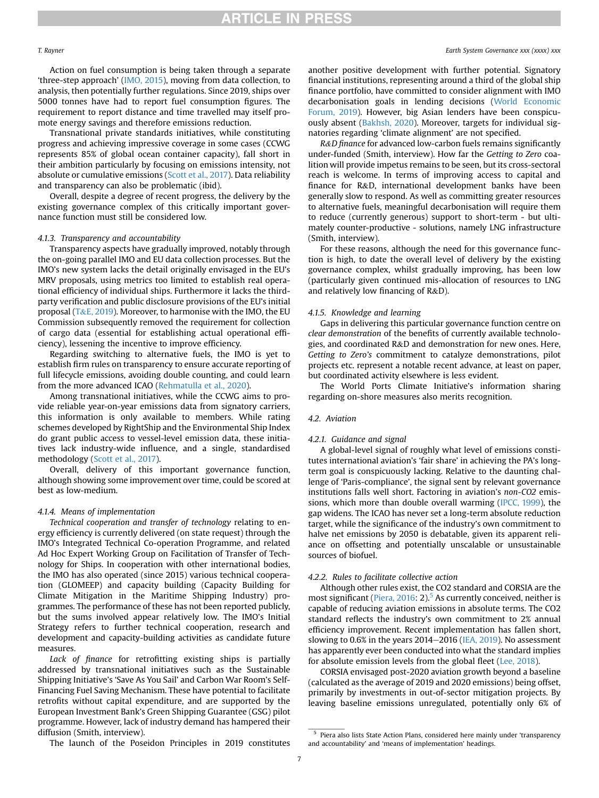Action on fuel consumption is being taken through a separate 'three-step approach' ([IMO, 2015](#page-10-8)), moving from data collection, to analysis, then potentially further regulations. Since 2019, ships over 5000 tonnes have had to report fuel consumption figures. The requirement to report distance and time travelled may itself promote energy savings and therefore emissions reduction.

Transnational private standards initiatives, while constituting progress and achieving impressive coverage in some cases (CCWG represents 85% of global ocean container capacity), fall short in their ambition particularly by focusing on emissions intensity, not absolute or cumulative emissions ([Scott et al., 2017\)](#page-10-41). Data reliability and transparency can also be problematic (ibid).

Overall, despite a degree of recent progress, the delivery by the existing governance complex of this critically important governance function must still be considered low.

#### 4.1.3. Transparency and accountability

Transparency aspects have gradually improved, notably through the on-going parallel IMO and EU data collection processes. But the IMO's new system lacks the detail originally envisaged in the EU's MRV proposals, using metrics too limited to establish real operational efficiency of individual ships. Furthermore it lacks the thirdparty verification and public disclosure provisions of the EU's initial proposal [\(T](#page-10-42)&[E, 2019\)](#page-10-42). Moreover, to harmonise with the IMO, the EU Commission subsequently removed the requirement for collection of cargo data (essential for establishing actual operational efficiency), lessening the incentive to improve efficiency.

Regarding switching to alternative fuels, the IMO is yet to establish firm rules on transparency to ensure accurate reporting of full lifecycle emissions, avoiding double counting, and could learn from the more advanced ICAO ([Rehmatulla et al., 2020\)](#page-10-43).

Among transnational initiatives, while the CCWG aims to provide reliable year-on-year emissions data from signatory carriers, this information is only available to members. While rating schemes developed by RightShip and the Environmental Ship Index do grant public access to vessel-level emission data, these initiatives lack industry-wide influence, and a single, standardised methodology [\(Scott et al., 2017](#page-10-41)).

Overall, delivery of this important governance function, although showing some improvement over time, could be scored at best as low-medium.

#### 4.1.4. Means of implementation

Technical cooperation and transfer of technology relating to energy efficiency is currently delivered (on state request) through the IMO's Integrated Technical Co-operation Programme, and related Ad Hoc Expert Working Group on Facilitation of Transfer of Technology for Ships. In cooperation with other international bodies, the IMO has also operated (since 2015) various technical cooperation (GLOMEEP) and capacity building (Capacity Building for Climate Mitigation in the Maritime Shipping Industry) programmes. The performance of these has not been reported publicly, but the sums involved appear relatively low. The IMO's Initial Strategy refers to further technical cooperation, research and development and capacity-building activities as candidate future measures.

Lack of finance for retrofitting existing ships is partially addressed by transnational initiatives such as the Sustainable Shipping Initiative's 'Save As You Sail' and Carbon War Room's Self-Financing Fuel Saving Mechanism. These have potential to facilitate retrofits without capital expenditure, and are supported by the European Investment Bank's Green Shipping Guarantee (GSG) pilot programme. However, lack of industry demand has hampered their diffusion (Smith, interview).

another positive development with further potential. Signatory financial institutions, representing around a third of the global ship finance portfolio, have committed to consider alignment with IMO decarbonisation goals in lending decisions [\(World Economic](#page-10-33) [Forum, 2019](#page-10-33)). However, big Asian lenders have been conspicuously absent [\(Bakhsh, 2020](#page-9-4)). Moreover, targets for individual signatories regarding 'climate alignment' are not specified.

R&D finance for advanced low-carbon fuels remains significantly under-funded (Smith, interview). How far the Getting to Zero coalition will provide impetus remains to be seen, but its cross-sectoral reach is welcome. In terms of improving access to capital and finance for R&D, international development banks have been generally slow to respond. As well as committing greater resources to alternative fuels, meaningful decarbonisation will require them to reduce (currently generous) support to short-term - but ultimately counter-productive - solutions, namely LNG infrastructure (Smith, interview).

For these reasons, although the need for this governance function is high, to date the overall level of delivery by the existing governance complex, whilst gradually improving, has been low (particularly given continued mis-allocation of resources to LNG and relatively low financing of R&D).

#### 4.1.5. Knowledge and learning

Gaps in delivering this particular governance function centre on clear demonstration of the benefits of currently available technologies, and coordinated R&D and demonstration for new ones. Here, Getting to Zero's commitment to catalyze demonstrations, pilot projects etc. represent a notable recent advance, at least on paper, but coordinated activity elsewhere is less evident.

The World Ports Climate Initiative's information sharing regarding on-shore measures also merits recognition.

# 4.2. Aviation

### 4.2.1. Guidance and signal

A global-level signal of roughly what level of emissions constitutes international aviation's 'fair share' in achieving the PA's longterm goal is conspicuously lacking. Relative to the daunting challenge of 'Paris-compliance', the signal sent by relevant governance institutions falls well short. Factoring in aviation's non-CO2 emissions, which more than double overall warming ([IPCC, 1999](#page-10-44)), the gap widens. The ICAO has never set a long-term absolute reduction target, while the significance of the industry's own commitment to halve net emissions by 2050 is debatable, given its apparent reliance on offsetting and potentially unscalable or unsustainable sources of biofuel.

### 4.2.2. Rules to facilitate collective action

Although other rules exist, the CO2 standard and CORSIA are the most significant (Piera,  $2016: 2$ ).<sup>5</sup> As currently conceived, neither is capable of reducing aviation emissions in absolute terms. The CO2 standard reflects the industry's own commitment to 2% annual efficiency improvement. Recent implementation has fallen short, slowing to 0.6% in the years 2014-2016 [\(IEA, 2019\)](#page-10-1). No assessment has apparently ever been conducted into what the standard implies for absolute emission levels from the global fleet [\(Lee, 2018](#page-10-4)).

CORSIA envisaged post-2020 aviation growth beyond a baseline (calculated as the average of 2019 and 2020 emissions) being offset, primarily by investments in out-of-sector mitigation projects. By leaving baseline emissions unregulated, potentially only 6% of

The launch of the Poseidon Principles in 2019 constitutes

<span id="page-6-0"></span><sup>5</sup> Piera also lists State Action Plans, considered here mainly under 'transparency and accountability' and 'means of implementation' headings.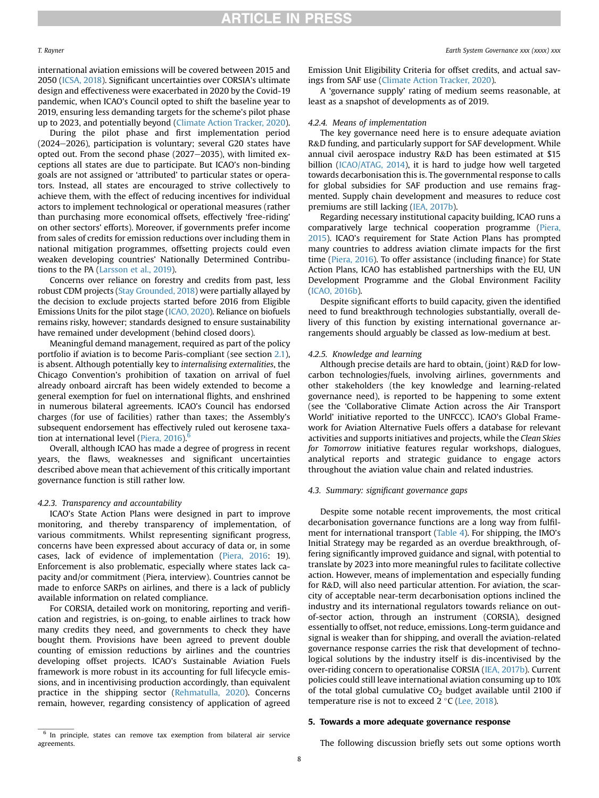international aviation emissions will be covered between 2015 and 2050 ([ICSA, 2018](#page-10-45)). Significant uncertainties over CORSIA's ultimate design and effectiveness were exacerbated in 2020 by the Covid-19 pandemic, when ICAO's Council opted to shift the baseline year to 2019, ensuring less demanding targets for the scheme's pilot phase up to 2023, and potentially beyond ([Climate Action Tracker, 2020\)](#page-10-46).

During the pilot phase and first implementation period  $(2024-2026)$ , participation is voluntary; several G20 states have opted out. From the second phase  $(2027-2035)$ , with limited exceptions all states are due to participate. But ICAO's non-binding goals are not assigned or 'attributed' to particular states or operators. Instead, all states are encouraged to strive collectively to achieve them, with the effect of reducing incentives for individual actors to implement technological or operational measures (rather than purchasing more economical offsets, effectively 'free-riding' on other sectors' efforts). Moreover, if governments prefer income from sales of credits for emission reductions over including them in national mitigation programmes, offsetting projects could even weaken developing countries' Nationally Determined Contributions to the PA ([Larsson et al., 2019\)](#page-10-16).

Concerns over reliance on forestry and credits from past, less robust CDM projects ([Stay Grounded, 2018\)](#page-10-47) were partially allayed by the decision to exclude projects started before 2016 from Eligible Emissions Units for the pilot stage ([ICAO, 2020](#page-10-48)). Reliance on biofuels remains risky, however; standards designed to ensure sustainability have remained under development (behind closed doors).

Meaningful demand management, required as part of the policy portfolio if aviation is to become Paris-compliant (see section [2.1\)](#page-1-1), is absent. Although potentially key to internalising externalities, the Chicago Convention's prohibition of taxation on arrival of fuel already onboard aircraft has been widely extended to become a general exemption for fuel on international flights, and enshrined in numerous bilateral agreements. ICAO's Council has endorsed charges (for use of facilities) rather than taxes; the Assembly's subsequent endorsement has effectively ruled out kerosene taxation at international level (Piera,  $2016$  $2016$ ).<sup>6</sup>

Overall, although ICAO has made a degree of progress in recent years, the flaws, weaknesses and significant uncertainties described above mean that achievement of this critically important governance function is still rather low.

### 4.2.3. Transparency and accountability

ICAO's State Action Plans were designed in part to improve monitoring, and thereby transparency of implementation, of various commitments. Whilst representing significant progress, concerns have been expressed about accuracy of data or, in some cases, lack of evidence of implementation [\(Piera, 2016](#page-10-34): 19). Enforcement is also problematic, especially where states lack capacity and/or commitment (Piera, interview). Countries cannot be made to enforce SARPs on airlines, and there is a lack of publicly available information on related compliance.

For CORSIA, detailed work on monitoring, reporting and verification and registries, is on-going, to enable airlines to track how many credits they need, and governments to check they have bought them. Provisions have been agreed to prevent double counting of emission reductions by airlines and the countries developing offset projects. ICAO's Sustainable Aviation Fuels framework is more robust in its accounting for full lifecycle emissions, and in incentivising production accordingly, than equivalent practice in the shipping sector ([Rehmatulla, 2020](#page-10-43)). Concerns remain, however, regarding consistency of application of agreed

Emission Unit Eligibility Criteria for offset credits, and actual savings from SAF use ([Climate Action Tracker, 2020\)](#page-10-46).

A 'governance supply' rating of medium seems reasonable, at least as a snapshot of developments as of 2019.

#### 4.2.4. Means of implementation

The key governance need here is to ensure adequate aviation R&D funding, and particularly support for SAF development. While annual civil aerospace industry R&D has been estimated at \$15 billion [\(ICAO/ATAG, 2014\)](#page-10-49), it is hard to judge how well targeted towards decarbonisation this is. The governmental response to calls for global subsidies for SAF production and use remains fragmented. Supply chain development and measures to reduce cost premiums are still lacking ([IEA, 2017b\)](#page-10-28).

Regarding necessary institutional capacity building, ICAO runs a comparatively large technical cooperation programme ([Piera,](#page-10-19) [2015\)](#page-10-19). ICAO's requirement for State Action Plans has prompted many countries to address aviation climate impacts for the first time ([Piera, 2016](#page-10-34)). To offer assistance (including finance) for State Action Plans, ICAO has established partnerships with the EU, UN Development Programme and the Global Environment Facility ([ICAO, 2016b](#page-10-50)).

Despite significant efforts to build capacity, given the identified need to fund breakthrough technologies substantially, overall delivery of this function by existing international governance arrangements should arguably be classed as low-medium at best.

#### 4.2.5. Knowledge and learning

Although precise details are hard to obtain, (joint) R&D for lowcarbon technologies/fuels, involving airlines, governments and other stakeholders (the key knowledge and learning-related governance need), is reported to be happening to some extent (see the 'Collaborative Climate Action across the Air Transport World' initiative reported to the UNFCCC). ICAO's Global Framework for Aviation Alternative Fuels offers a database for relevant activities and supports initiatives and projects, while the Clean Skies for Tomorrow initiative features regular workshops, dialogues, analytical reports and strategic guidance to engage actors throughout the aviation value chain and related industries.

### 4.3. Summary: significant governance gaps

Despite some notable recent improvements, the most critical decarbonisation governance functions are a long way from fulfilment for international transport ([Table 4\)](#page-8-0). For shipping, the IMO's Initial Strategy may be regarded as an overdue breakthrough, offering significantly improved guidance and signal, with potential to translate by 2023 into more meaningful rules to facilitate collective action. However, means of implementation and especially funding for R&D, will also need particular attention. For aviation, the scarcity of acceptable near-term decarbonisation options inclined the industry and its international regulators towards reliance on outof-sector action, through an instrument (CORSIA), designed essentially to offset, not reduce, emissions. Long-term guidance and signal is weaker than for shipping, and overall the aviation-related governance response carries the risk that development of technological solutions by the industry itself is dis-incentivised by the over-riding concern to operationalise CORSIA [\(IEA, 2017b\)](#page-10-28). Current policies could still leave international aviation consuming up to 10% of the total global cumulative  $CO<sub>2</sub>$  budget available until 2100 if temperature rise is not to exceed  $2^{\circ}$ C ([Lee, 2018\)](#page-10-4).

## <span id="page-7-0"></span>5. Towards a more adequate governance response

The following discussion briefly sets out some options worth

<span id="page-7-1"></span> $6$  In principle, states can remove tax exemption from bilateral air service agreements.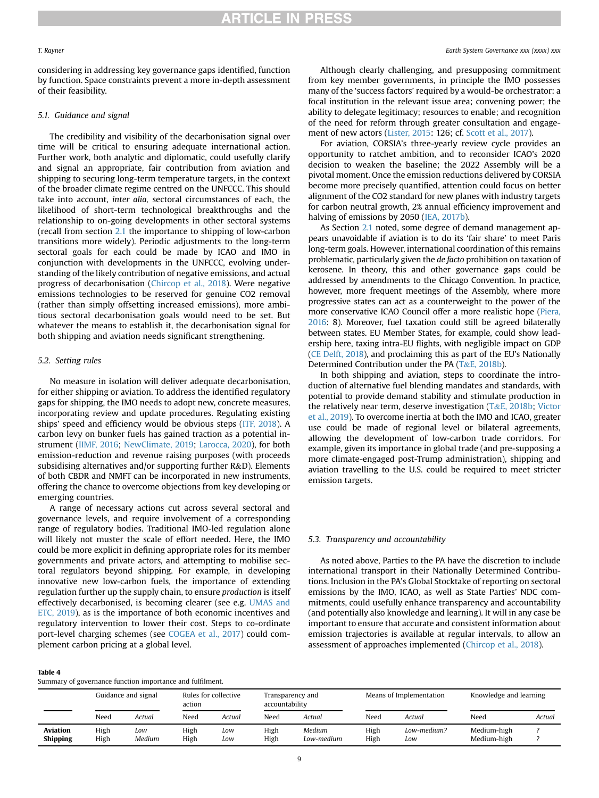considering in addressing key governance gaps identified, function by function. Space constraints prevent a more in-depth assessment of their feasibility.

#### 5.1. Guidance and signal

The credibility and visibility of the decarbonisation signal over time will be critical to ensuring adequate international action. Further work, both analytic and diplomatic, could usefully clarify and signal an appropriate, fair contribution from aviation and shipping to securing long-term temperature targets, in the context of the broader climate regime centred on the UNFCCC. This should take into account, inter alia, sectoral circumstances of each, the likelihood of short-term technological breakthroughs and the relationship to on-going developments in other sectoral systems (recall from section [2.1](#page-1-1) the importance to shipping of low-carbon transitions more widely). Periodic adjustments to the long-term sectoral goals for each could be made by ICAO and IMO in conjunction with developments in the UNFCCC, evolving understanding of the likely contribution of negative emissions, and actual progress of decarbonisation [\(Chircop et al., 2018](#page-10-31)). Were negative emissions technologies to be reserved for genuine CO2 removal (rather than simply offsetting increased emissions), more ambitious sectoral decarbonisation goals would need to be set. But whatever the means to establish it, the decarbonisation signal for both shipping and aviation needs significant strengthening.

# 5.2. Setting rules

No measure in isolation will deliver adequate decarbonisation, for either shipping or aviation. To address the identified regulatory gaps for shipping, the IMO needs to adopt new, concrete measures, incorporating review and update procedures. Regulating existing ships' speed and efficiency would be obvious steps [\(ITF, 2018](#page-10-7)). A carbon levy on bunker fuels has gained traction as a potential instrument [\(IIMF, 2016;](#page-10-51) [NewClimate, 2019](#page-10-52); [Larocca, 2020](#page-10-53)), for both emission-reduction and revenue raising purposes (with proceeds subsidising alternatives and/or supporting further R&D). Elements of both CBDR and NMFT can be incorporated in new instruments, offering the chance to overcome objections from key developing or emerging countries.

A range of necessary actions cut across several sectoral and governance levels, and require involvement of a corresponding range of regulatory bodies. Traditional IMO-led regulation alone will likely not muster the scale of effort needed. Here, the IMO could be more explicit in defining appropriate roles for its member governments and private actors, and attempting to mobilise sectoral regulators beyond shipping. For example, in developing innovative new low-carbon fuels, the importance of extending regulation further up the supply chain, to ensure production is itself effectively decarbonised, is becoming clearer (see e.g. [UMAS and](#page-10-9) [ETC, 2019\)](#page-10-9), as is the importance of both economic incentives and regulatory intervention to lower their cost. Steps to co-ordinate port-level charging schemes (see [COGEA et al., 2017](#page-10-54)) could complement carbon pricing at a global level.

#### <span id="page-8-0"></span>Table 4

| Summary of governance function importance and fulfilment. |  |  |  |  |
|-----------------------------------------------------------|--|--|--|--|
|-----------------------------------------------------------|--|--|--|--|

Although clearly challenging, and presupposing commitment from key member governments, in principle the IMO possesses many of the 'success factors' required by a would-be orchestrator: a focal institution in the relevant issue area; convening power; the ability to delegate legitimacy; resources to enable; and recognition of the need for reform through greater consultation and engagement of new actors ([Lister, 2015](#page-10-55): 126; cf. [Scott et al., 2017\)](#page-10-41).

For aviation, CORSIA's three-yearly review cycle provides an opportunity to ratchet ambition, and to reconsider ICAO's 2020 decision to weaken the baseline; the 2022 Assembly will be a pivotal moment. Once the emission reductions delivered by CORSIA become more precisely quantified, attention could focus on better alignment of the CO2 standard for new planes with industry targets for carbon neutral growth, 2% annual efficiency improvement and halving of emissions by 2050 ([IEA, 2017b](#page-10-28)).

As Section [2.1](#page-1-1) noted, some degree of demand management appears unavoidable if aviation is to do its 'fair share' to meet Paris long-term goals. However, international coordination of this remains problematic, particularly given the de facto prohibition on taxation of kerosene. In theory, this and other governance gaps could be addressed by amendments to the Chicago Convention. In practice, however, more frequent meetings of the Assembly, where more progressive states can act as a counterweight to the power of the more conservative ICAO Council offer a more realistic hope [\(Piera,](#page-10-34) [2016](#page-10-34): 8). Moreover, fuel taxation could still be agreed bilaterally between states. EU Member States, for example, could show leadership here, taxing intra-EU flights, with negligible impact on GDP ([CE Delft, 2018\)](#page-10-56), and proclaiming this as part of the EU's Nationally Determined Contribution under the PA ([T](#page-10-57)&[E, 2018b\)](#page-10-57).

In both shipping and aviation, steps to coordinate the introduction of alternative fuel blending mandates and standards, with potential to provide demand stability and stimulate production in the relatively near term, deserve investigation ([T](#page-10-57)&[E, 2018b;](#page-10-57) [Victor](#page-10-20) [et al., 2019\)](#page-10-20). To overcome inertia at both the IMO and ICAO, greater use could be made of regional level or bilateral agreements, allowing the development of low-carbon trade corridors. For example, given its importance in global trade (and pre-supposing a more climate-engaged post-Trump administration), shipping and aviation travelling to the U.S. could be required to meet stricter emission targets.

#### 5.3. Transparency and accountability

As noted above, Parties to the PA have the discretion to include international transport in their Nationally Determined Contributions. Inclusion in the PA's Global Stocktake of reporting on sectoral emissions by the IMO, ICAO, as well as State Parties' NDC commitments, could usefully enhance transparency and accountability (and potentially also knowledge and learning). It will in any case be important to ensure that accurate and consistent information about emission trajectories is available at regular intervals, to allow an assessment of approaches implemented [\(Chircop et al., 2018\)](#page-10-31).

|                                    | Guidance and signal |               | Rules for collective<br>action |            | Transparency and<br>accountability |                      | Means of Implementation |                    | Knowledge and learning     |        |
|------------------------------------|---------------------|---------------|--------------------------------|------------|------------------------------------|----------------------|-------------------------|--------------------|----------------------------|--------|
|                                    | Need                | Actual        | Need                           | Actual     | Need                               | Actual               | Need                    | Actual             | Need                       | Actual |
| <b>Aviation</b><br><b>Shipping</b> | High<br>High        | Low<br>Medium | High<br>High                   | Low<br>Low | High<br>High                       | Medium<br>Low-medium | High<br>High            | Low-medium?<br>Low | Medium-high<br>Medium-high |        |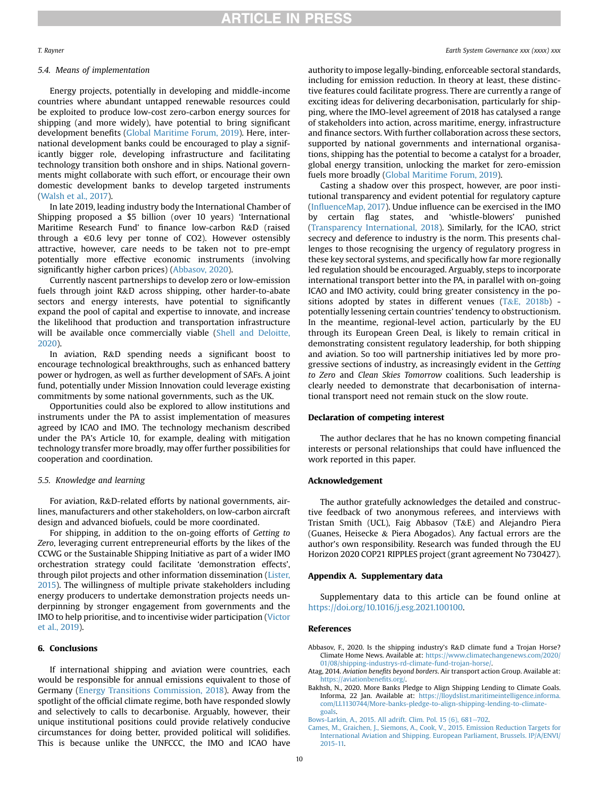## 5.4. Means of implementation

Energy projects, potentially in developing and middle-income countries where abundant untapped renewable resources could be exploited to produce low-cost zero-carbon energy sources for shipping (and more widely), have potential to bring significant development benefits ([Global Maritime Forum, 2019\)](#page-10-32). Here, international development banks could be encouraged to play a significantly bigger role, developing infrastructure and facilitating technology transition both onshore and in ships. National governments might collaborate with such effort, or encourage their own domestic development banks to develop targeted instruments ([Walsh et al., 2017](#page-10-12)).

In late 2019, leading industry body the International Chamber of Shipping proposed a \$5 billion (over 10 years) 'International Maritime Research Fund' to finance low-carbon R&D (raised through a  $\in$ 0.6 levy per tonne of CO2). However ostensibly attractive, however, care needs to be taken not to pre-empt potentially more effective economic instruments (involving significantly higher carbon prices) [\(Abbasov, 2020\)](#page-9-5).

Currently nascent partnerships to develop zero or low-emission fuels through joint R&D across shipping, other harder-to-abate sectors and energy interests, have potential to significantly expand the pool of capital and expertise to innovate, and increase the likelihood that production and transportation infrastructure will be available once commercially viable [\(Shell and Deloitte,](#page-10-21) [2020\)](#page-10-21).

In aviation, R&D spending needs a significant boost to encourage technological breakthroughs, such as enhanced battery power or hydrogen, as well as further development of SAFs. A joint fund, potentially under Mission Innovation could leverage existing commitments by some national governments, such as the UK.

Opportunities could also be explored to allow institutions and instruments under the PA to assist implementation of measures agreed by ICAO and IMO. The technology mechanism described under the PA's Article 10, for example, dealing with mitigation technology transfer more broadly, may offer further possibilities for cooperation and coordination.

# 5.5. Knowledge and learning

For aviation, R&D-related efforts by national governments, airlines, manufacturers and other stakeholders, on low-carbon aircraft design and advanced biofuels, could be more coordinated.

For shipping, in addition to the on-going efforts of Getting to Zero, leveraging current entrepreneurial efforts by the likes of the CCWG or the Sustainable Shipping Initiative as part of a wider IMO orchestration strategy could facilitate 'demonstration effects', through pilot projects and other information dissemination ([Lister,](#page-10-55) [2015\)](#page-10-55). The willingness of multiple private stakeholders including energy producers to undertake demonstration projects needs underpinning by stronger engagement from governments and the IMO to help prioritise, and to incentivise wider participation [\(Victor](#page-10-20) [et al., 2019\)](#page-10-20).

# <span id="page-9-0"></span>6. Conclusions

If international shipping and aviation were countries, each would be responsible for annual emissions equivalent to those of Germany [\(Energy Transitions Commission, 2018\)](#page-10-2). Away from the spotlight of the official climate regime, both have responded slowly and selectively to calls to decarbonise. Arguably, however, their unique institutional positions could provide relatively conducive circumstances for doing better, provided political will solidifies. This is because unlike the UNFCCC, the IMO and ICAO have

#### T. Rayner Earth System Governance xxx (xxxx) xxx

authority to impose legally-binding, enforceable sectoral standards, including for emission reduction. In theory at least, these distinctive features could facilitate progress. There are currently a range of exciting ideas for delivering decarbonisation, particularly for shipping, where the IMO-level agreement of 2018 has catalysed a range of stakeholders into action, across maritime, energy, infrastructure and finance sectors. With further collaboration across these sectors, supported by national governments and international organisations, shipping has the potential to become a catalyst for a broader, global energy transition, unlocking the market for zero-emission fuels more broadly [\(Global Maritime Forum, 2019\)](#page-10-32).

Casting a shadow over this prospect, however, are poor institutional transparency and evident potential for regulatory capture (Infl[uenceMap, 2017](#page-10-58)). Undue influence can be exercised in the IMO by certain flag states, and 'whistle-blowers' punished ([Transparency International, 2018\)](#page-10-59). Similarly, for the ICAO, strict secrecy and deference to industry is the norm. This presents challenges to those recognising the urgency of regulatory progress in these key sectoral systems, and specifically how far more regionally led regulation should be encouraged. Arguably, steps to incorporate international transport better into the PA, in parallel with on-going ICAO and IMO activity, could bring greater consistency in the positions adopted by states in different venues  $(T&E, 2018b)$  $(T&E, 2018b)$  $(T&E, 2018b)$  potentially lessening certain countries' tendency to obstructionism. In the meantime, regional-level action, particularly by the EU through its European Green Deal, is likely to remain critical in demonstrating consistent regulatory leadership, for both shipping and aviation. So too will partnership initiatives led by more progressive sections of industry, as increasingly evident in the Getting to Zero and Clean Skies Tomorrow coalitions. Such leadership is clearly needed to demonstrate that decarbonisation of international transport need not remain stuck on the slow route.

### Declaration of competing interest

The author declares that he has no known competing financial interests or personal relationships that could have influenced the work reported in this paper.

## Acknowledgement

The author gratefully acknowledges the detailed and constructive feedback of two anonymous referees, and interviews with Tristan Smith (UCL), Faig Abbasov (T&E) and Alejandro Piera (Guanes, Heisecke & Piera Abogados). Any factual errors are the author's own responsibility. Research was funded through the EU Horizon 2020 COP21 RIPPLES project (grant agreement No 730427).

#### Appendix A. Supplementary data

Supplementary data to this article can be found online at <https://doi.org/10.1016/j.esg.2021.100100>.

#### References

<span id="page-9-5"></span>Abbasov, F., 2020. Is the shipping industry's R&D climate fund a Trojan Horse? Climate Home News. Available at: [https://www.climatechangenews.com/2020/](https://www.climatechangenews.com/2020/01/08/shipping-industrys-rd-climate-fund-trojan-horse/) [01/08/shipping-industrys-rd-climate-fund-trojan-horse/.](https://www.climatechangenews.com/2020/01/08/shipping-industrys-rd-climate-fund-trojan-horse/)

<span id="page-9-2"></span>Atag, 2014. Aviation benefits beyond borders. Air transport action Group. Available at: [https://aviationbene](https://aviationbenefits.org/)fits.org/.

<span id="page-9-4"></span>Bakhsh, N., 2020. More Banks Pledge to Align Shipping Lending to Climate Goals. Informa, 22 Jan. Available at: [https://lloydslist.maritimeintelligence.informa.](https://lloydslist.maritimeintelligence.informa.com/LL1130744/More-banks-pledge-to-align-shipping-lending-to-climate-goals) [com/LL1130744/More-banks-pledge-to-align-shipping-lending-to-climate](https://lloydslist.maritimeintelligence.informa.com/LL1130744/More-banks-pledge-to-align-shipping-lending-to-climate-goals)[goals](https://lloydslist.maritimeintelligence.informa.com/LL1130744/More-banks-pledge-to-align-shipping-lending-to-climate-goals).

<span id="page-9-1"></span>[Bows-Larkin, A., 2015. All adrift. Clim. Pol. 15 \(6\), 681](http://refhub.elsevier.com/S2589-8116(21)00004-5/sref4)-[702.](http://refhub.elsevier.com/S2589-8116(21)00004-5/sref4)

<span id="page-9-3"></span>[Cames, M., Graichen, J., Siemons, A., Cook, V., 2015. Emission Reduction Targets for](http://refhub.elsevier.com/S2589-8116(21)00004-5/sref5) [International Aviation and Shipping. European Parliament, Brussels. IP/A/ENVI/](http://refhub.elsevier.com/S2589-8116(21)00004-5/sref5) [2015-11.](http://refhub.elsevier.com/S2589-8116(21)00004-5/sref5)